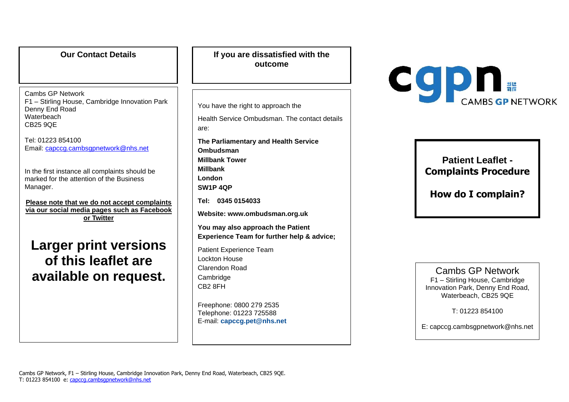| <b>Our Contact Details</b>                                                                                                                                                                                                                                                                                                                                                                                                                                                                | If you are dissatisfied with the<br>outcome                                                                                                                                                                                                                                                                                                                                                                                                                                                                                                                             |
|-------------------------------------------------------------------------------------------------------------------------------------------------------------------------------------------------------------------------------------------------------------------------------------------------------------------------------------------------------------------------------------------------------------------------------------------------------------------------------------------|-------------------------------------------------------------------------------------------------------------------------------------------------------------------------------------------------------------------------------------------------------------------------------------------------------------------------------------------------------------------------------------------------------------------------------------------------------------------------------------------------------------------------------------------------------------------------|
| Cambs GP Network<br>F1 - Stirling House, Cambridge Innovation Park<br>Denny End Road<br>Waterbeach<br><b>CB25 9QE</b><br>Tel: 01223 854100<br>Email: capccg.cambsgpnetwork@nhs.net<br>In the first instance all complaints should be<br>marked for the attention of the Business<br>Manager.<br>Please note that we do not accept complaints<br>via our social media pages such as Facebook<br>or Twitter<br><b>Larger print versions</b><br>of this leaflet are<br>available on request. | You have the right to approach the<br>Health Service Ombudsman. The contact details<br>are:<br>The Parliamentary and Health Service<br>Ombudsman<br><b>Millbank Tower</b><br><b>Millbank</b><br>London<br>SW1P 4QP<br>Tel: 0345 0154033<br>Website: www.ombudsman.org.uk<br>You may also approach the Patient<br>Experience Team for further help & advice;<br><b>Patient Experience Team</b><br><b>Lockton House</b><br><b>Clarendon Road</b><br>Cambridge<br>CB <sub>2</sub> 8FH<br>Freephone: 0800 279 2535<br>Telephone: 01223 725588<br>E-mail: capccg.pet@nhs.net |



**Patient Leaflet - Complaints Procedure**

**How do I complain?** 

Cambs GP Network F1 – Stirling House, Cambridge Innovation Park, Denny End Road, Waterbeach, CB25 9QE

T: 01223 854100

E: capccg.cambsgpnetwork@nhs.net